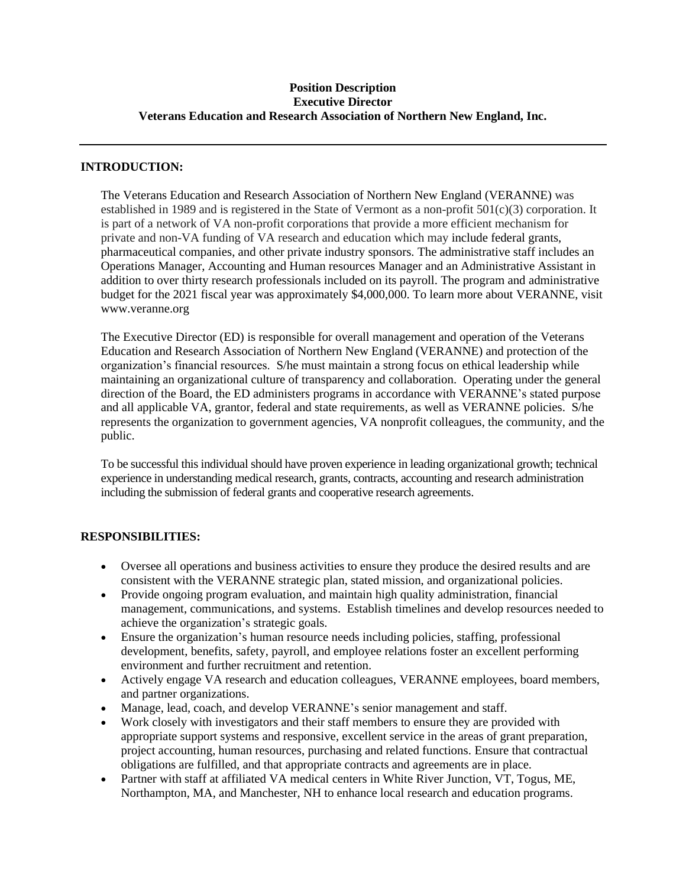### **Position Description Executive Director Veterans Education and Research Association of Northern New England, Inc.**

## **INTRODUCTION:**

The Veterans Education and Research Association of Northern New England (VERANNE) was established in 1989 and is registered in the State of Vermont as a non-profit 501(c)(3) corporation. It is part of a network of VA non-profit corporations that provide a more efficient mechanism for private and non-VA funding of VA research and education which may include federal grants, pharmaceutical companies, and other private industry sponsors. The administrative staff includes an Operations Manager, Accounting and Human resources Manager and an Administrative Assistant in addition to over thirty research professionals included on its payroll. The program and administrative budget for the 2021 fiscal year was approximately \$4,000,000. To learn more about VERANNE, visit www.veranne.org

The Executive Director (ED) is responsible for overall management and operation of the Veterans Education and Research Association of Northern New England (VERANNE) and protection of the organization's financial resources. S/he must maintain a strong focus on ethical leadership while maintaining an organizational culture of transparency and collaboration. Operating under the general direction of the Board, the ED administers programs in accordance with VERANNE's stated purpose and all applicable VA, grantor, federal and state requirements, as well as VERANNE policies. S/he represents the organization to government agencies, VA nonprofit colleagues, the community, and the public.

To be successful this individual should have proven experience in leading organizational growth; technical experience in understanding medical research, grants, contracts, accounting and research administration including the submission of federal grants and cooperative research agreements.

#### **RESPONSIBILITIES:**

- Oversee all operations and business activities to ensure they produce the desired results and are consistent with the VERANNE strategic plan, stated mission, and organizational policies.
- Provide ongoing program evaluation, and maintain high quality administration, financial management, communications, and systems. Establish timelines and develop resources needed to achieve the organization's strategic goals.
- Ensure the organization's human resource needs including policies, staffing, professional development, benefits, safety, payroll, and employee relations foster an excellent performing environment and further recruitment and retention.
- Actively engage VA research and education colleagues, VERANNE employees, board members, and partner organizations.
- Manage, lead, coach, and develop VERANNE's senior management and staff.
- Work closely with investigators and their staff members to ensure they are provided with appropriate support systems and responsive, excellent service in the areas of grant preparation, project accounting, human resources, purchasing and related functions. Ensure that contractual obligations are fulfilled, and that appropriate contracts and agreements are in place.
- Partner with staff at affiliated VA medical centers in White River Junction, VT, Togus, ME, Northampton, MA, and Manchester, NH to enhance local research and education programs.